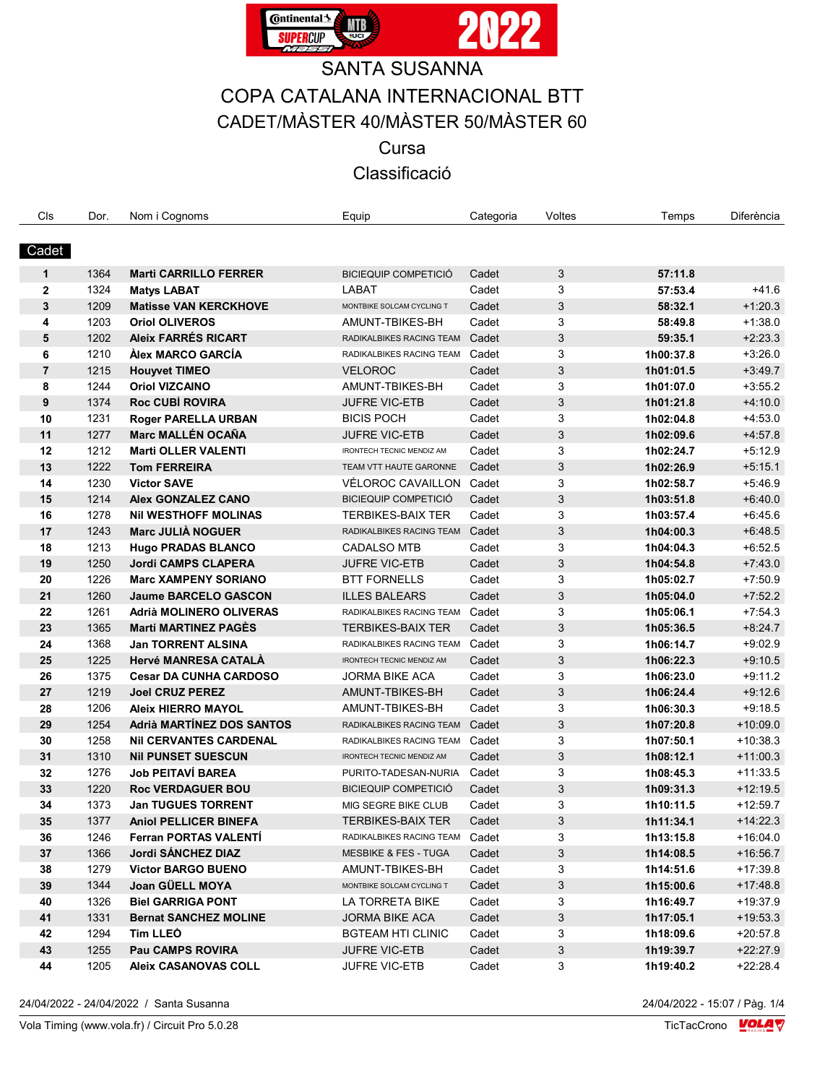

# **SANTA SUSANNA**

## COPA CATALANA INTERNACIONAL BTT CADET/MÀSTER 40/MÀSTER 50/MÀSTER 60

Cursa

### Classificació

| Cls            | Dor. | Nom i Cognoms                    | Equip                            | Categoria | Voltes | Temps     | Diferència |
|----------------|------|----------------------------------|----------------------------------|-----------|--------|-----------|------------|
|                |      |                                  |                                  |           |        |           |            |
| Cadet          |      |                                  |                                  |           |        |           |            |
| $\mathbf{1}$   | 1364 | <b>Marti CARRILLO FERRER</b>     | <b>BICIEQUIP COMPETICIÓ</b>      | Cadet     | 3      | 57:11.8   |            |
| $\mathbf{2}$   | 1324 | <b>Matys LABAT</b>               | LABAT                            | Cadet     | 3      | 57:53.4   | +41.6      |
| 3              | 1209 | <b>Matisse VAN KERCKHOVE</b>     | MONTBIKE SOLCAM CYCLING T        | Cadet     | 3      | 58:32.1   | $+1:20.3$  |
| 4              | 1203 | <b>Oriol OLIVEROS</b>            | AMUNT-TBIKES-BH                  | Cadet     | 3      | 58:49.8   | $+1:38.0$  |
| 5              | 1202 | <b>Aleix FARRÉS RICART</b>       | RADIKALBIKES RACING TEAM         | Cadet     | 3      | 59:35.1   | $+2.23.3$  |
| 6              | 1210 | Àlex MARCO GARCÍA                | RADIKALBIKES RACING TEAM         | Cadet     | 3      | 1h00:37.8 | $+3.26.0$  |
| $\overline{7}$ | 1215 | <b>Houyvet TIMEO</b>             | <b>VELOROC</b>                   | Cadet     | 3      | 1h01:01.5 | $+3:49.7$  |
| 8              | 1244 | <b>Oriol VIZCAINO</b>            | AMUNT-TBIKES-BH                  | Cadet     | 3      | 1h01:07.0 | $+3:55.2$  |
| 9              | 1374 | Roc CUBÍ ROVIRA                  | <b>JUFRE VIC-ETB</b>             | Cadet     | 3      | 1h01:21.8 | $+4:10.0$  |
| 10             | 1231 | <b>Roger PARELLA URBAN</b>       | <b>BICIS POCH</b>                | Cadet     | 3      | 1h02:04.8 | $+4:53.0$  |
| 11             | 1277 | <b>Marc MALLÉN OCAÑA</b>         | <b>JUFRE VIC-ETB</b>             | Cadet     | 3      | 1h02:09.6 | $+4:57.8$  |
| 12             | 1212 | <b>Marti OLLER VALENTI</b>       | IRONTECH TECNIC MENDIZ AM        | Cadet     | 3      | 1h02:24.7 | $+5:12.9$  |
| 13             | 1222 | <b>Tom FERREIRA</b>              | TEAM VTT HAUTE GARONNE           | Cadet     | 3      | 1h02:26.9 | $+5:15.1$  |
| 14             | 1230 | <b>Victor SAVE</b>               | VÉLOROC CAVAILLON                | Cadet     | 3      | 1h02:58.7 | $+5.46.9$  |
| 15             | 1214 | <b>Alex GONZALEZ CANO</b>        | <b>BICIEQUIP COMPETICIÓ</b>      | Cadet     | 3      | 1h03:51.8 | $+6:40.0$  |
| 16             | 1278 | <b>NII WESTHOFF MOLINAS</b>      | <b>TERBIKES-BAIX TER</b>         | Cadet     | 3      | 1h03:57.4 | $+6.45.6$  |
| 17             | 1243 | <b>Marc JULIA NOGUER</b>         | RADIKALBIKES RACING TEAM         | Cadet     | 3      | 1h04:00.3 | $+6.48.5$  |
| 18             | 1213 | <b>Hugo PRADAS BLANCO</b>        | <b>CADALSO MTB</b>               | Cadet     | 3      | 1h04:04.3 | $+6.52.5$  |
| 19             | 1250 | <b>Jordi CAMPS CLAPERA</b>       | <b>JUFRE VIC-ETB</b>             | Cadet     | 3      | 1h04:54.8 | $+7:43.0$  |
| 20             | 1226 | <b>Marc XAMPENY SORIANO</b>      | <b>BTT FORNELLS</b>              | Cadet     | 3      | 1h05:02.7 | $+7:50.9$  |
| 21             | 1260 | <b>Jaume BARCELO GASCON</b>      | <b>ILLES BALEARS</b>             | Cadet     | 3      | 1h05:04.0 | $+7:52.2$  |
| 22             | 1261 | Adrià MOLINERO OLIVERAS          | RADIKALBIKES RACING TEAM         | Cadet     | 3      | 1h05:06.1 | $+7:54.3$  |
| 23             | 1365 | <b>Martí MARTINEZ PAGÉS</b>      | <b>TERBIKES-BAIX TER</b>         | Cadet     | 3      | 1h05:36.5 | $+8.24.7$  |
| 24             | 1368 | <b>Jan TORRENT ALSINA</b>        | RADIKALBIKES RACING TEAM         | Cadet     | 3      | 1h06:14.7 | $+9.02.9$  |
| 25             | 1225 | <b>Hervé MANRESA CATALA</b>      | IRONTECH TECNIC MENDIZ AM        | Cadet     | 3      | 1h06:22.3 | $+9.10.5$  |
| 26             | 1375 | <b>Cesar DA CUNHA CARDOSO</b>    | JORMA BIKE ACA                   | Cadet     | 3      | 1h06:23.0 | $+9.11.2$  |
| 27             | 1219 | <b>Joel CRUZ PEREZ</b>           | AMUNT-TBIKES-BH                  | Cadet     | 3      | 1h06:24.4 | $+9.12.6$  |
| 28             | 1206 | <b>Aleix HIERRO MAYOL</b>        | AMUNT-TBIKES-BH                  | Cadet     | 3      | 1h06:30.3 | $+9:18.5$  |
| 29             | 1254 | <b>Adrià MARTÍNEZ DOS SANTOS</b> | RADIKALBIKES RACING TEAM         | Cadet     | 3      | 1h07:20.8 | $+10.09.0$ |
| 30             | 1258 | <b>NII CERVANTES CARDENAL</b>    | RADIKALBIKES RACING TEAM Cadet   |           | 3      | 1h07:50.1 | $+10:38.3$ |
| 31             | 1310 | <b>Nil PUNSET SUESCUN</b>        | <b>IRONTECH TECNIC MENDIZ AM</b> | Cadet     | 3      | 1h08:12.1 | $+11:00.3$ |
| 32             | 1276 | <b>Job PEITAVÍ BAREA</b>         | PURITO-TADESAN-NURIA             | Cadet     | 3      | 1h08:45.3 | $+11:33.5$ |
| 33             | 1220 | <b>Roc VERDAGUER BOU</b>         | <b>BICIEQUIP COMPETICIÓ</b>      | Cadet     | 3      | 1h09:31.3 | $+12:19.5$ |
| 34             | 1373 | <b>Jan TUGUES TORRENT</b>        | MIG SEGRE BIKE CLUB              | Cadet     | 3      | 1h10:11.5 | $+12.59.7$ |
| 35             | 1377 | <b>Aniol PELLICER BINEFA</b>     | TERBIKES-BAIX TER                | Cadet     | 3      | 1h11:34.1 | $+14.22.3$ |
| 36             | 1246 | Ferran PORTAS VALENTI            | RADIKALBIKES RACING TEAM Cadet   |           | 3      | 1h13:15.8 | +16:04.0   |
| 37             | 1366 | Jordi SANCHEZ DIAZ               | <b>MESBIKE &amp; FES - TUGA</b>  | Cadet     | 3      | 1h14:08.5 | $+16:56.7$ |
| 38             | 1279 | <b>Victor BARGO BUENO</b>        | AMUNT-TBIKES-BH                  | Cadet     | 3      | 1h14:51.6 | $+17:39.8$ |
| 39             | 1344 | Joan GÜELL MOYA                  | MONTBIKE SOLCAM CYCLING T        | Cadet     | 3      | 1h15:00.6 | $+17:48.8$ |
| 40             | 1326 | <b>Biel GARRIGA PONT</b>         | LA TORRETA BIKE                  | Cadet     | 3      | 1h16:49.7 | $+19:37.9$ |
| 41             | 1331 | <b>Bernat SANCHEZ MOLINE</b>     | JORMA BIKE ACA                   | Cadet     | 3      | 1h17:05.1 | $+19:53.3$ |
| 42             | 1294 | <b>Tim LLEO</b>                  | BGTEAM HTI CLINIC                | Cadet     | 3      | 1h18:09.6 | $+20:57.8$ |
| 43             | 1255 | <b>Pau CAMPS ROVIRA</b>          | JUFRE VIC-ETB                    | Cadet     | 3      | 1h19:39.7 | +22:27.9   |
| 44             | 1205 | <b>Aleix CASANOVAS COLL</b>      | <b>JUFRE VIC-ETB</b>             | Cadet     | 3      | 1h19:40.2 | $+22:28.4$ |

24/04/2022 - 24/04/2022 / Santa Susanna

24/04/2022 - 15:07 / Pàg. 1/4

TicTacCrono **VOLA**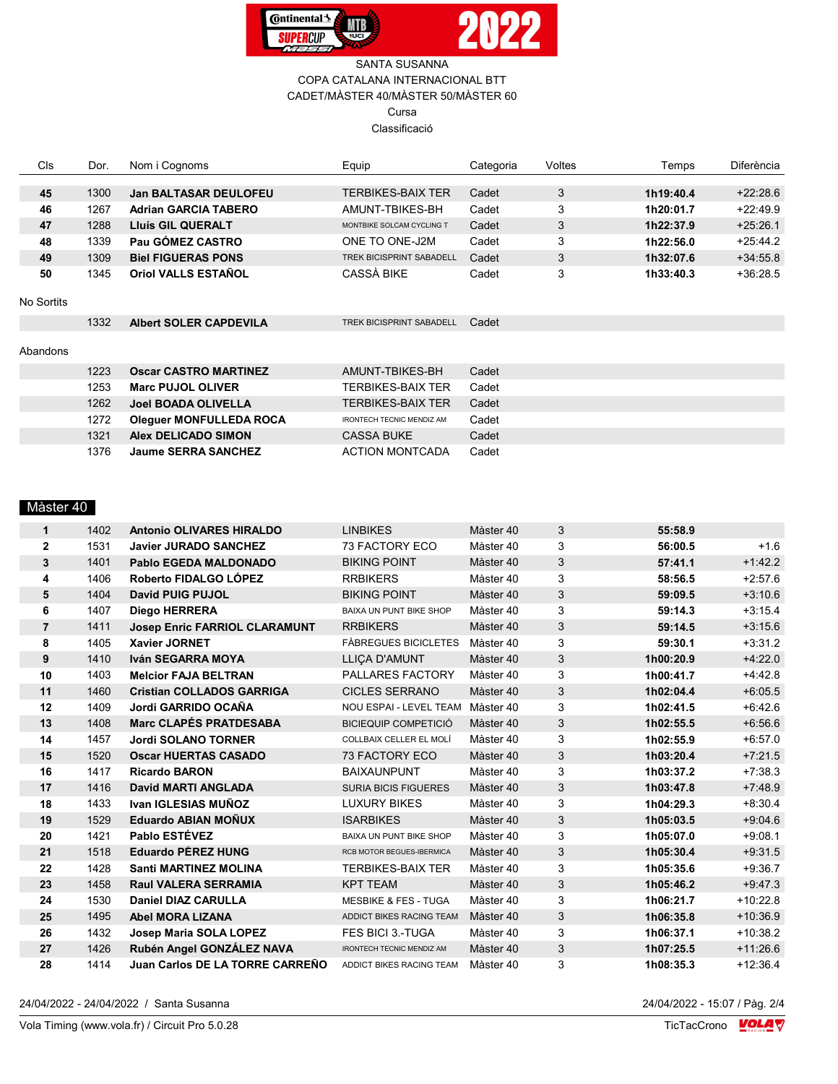



#### SANTA SUSANNA COPA CATALANA INTERNACIONAL BTT CADET/MÀSTER 40/MÀSTER 50/MÀSTER 60 Cursa Classificació

| Cls        | Dor. | Nom i Cognoms                  | Equip                            | Categoria | Voltes | Temps     | <b>Diferència</b> |
|------------|------|--------------------------------|----------------------------------|-----------|--------|-----------|-------------------|
|            |      |                                |                                  |           |        |           |                   |
| 45         | 1300 | <b>Jan BALTASAR DEULOFEU</b>   | TERBIKES-BAIX TER                | Cadet     | 3      | 1h19:40.4 | $+22:28.6$        |
| 46         | 1267 | <b>Adrian GARCIA TABERO</b>    | AMUNT-TBIKES-BH                  | Cadet     | 3      | 1h20:01.7 | $+22:49.9$        |
| 47         | 1288 | <b>Lluís GIL QUERALT</b>       | MONTBIKE SOLCAM CYCLING T        | Cadet     | 3      | 1h22:37.9 | $+25:26.1$        |
| 48         | 1339 | Pau GÓMEZ CASTRO               | ONE TO ONE-J2M                   | Cadet     | 3      | 1h22:56.0 | $+25:44.2$        |
| 49         | 1309 | <b>Biel FIGUERAS PONS</b>      | <b>TREK BICISPRINT SABADELL</b>  | Cadet     | 3      | 1h32:07.6 | $+34:55.8$        |
| 50         | 1345 | <b>Oriol VALLS ESTAÑOL</b>     | CASSÀ BIKE                       | Cadet     | 3      | 1h33:40.3 | $+36:28.5$        |
|            |      |                                |                                  |           |        |           |                   |
| No Sortits |      |                                |                                  |           |        |           |                   |
|            | 1332 | <b>Albert SOLER CAPDEVILA</b>  | <b>TREK BICISPRINT SABADELL</b>  | Cadet     |        |           |                   |
|            |      |                                |                                  |           |        |           |                   |
| Abandons   |      |                                |                                  |           |        |           |                   |
|            | 1223 | <b>Oscar CASTRO MARTINEZ</b>   | AMUNT-TBIKES-BH                  | Cadet     |        |           |                   |
|            | 1253 | <b>Marc PUJOL OLIVER</b>       | <b>TERBIKES-BAIX TER</b>         | Cadet     |        |           |                   |
|            | 1262 | <b>Joel BOADA OLIVELLA</b>     | <b>TERBIKES-BAIX TER</b>         | Cadet     |        |           |                   |
|            | 1272 | <b>Oleguer MONFULLEDA ROCA</b> | <b>IRONTECH TECNIC MENDIZ AM</b> | Cadet     |        |           |                   |
|            | 1321 | <b>Alex DELICADO SIMON</b>     | <b>CASSA BUKE</b>                | Cadet     |        |           |                   |
|            | 1376 | <b>Jaume SERRA SANCHEZ</b>     | <b>ACTION MONTCADA</b>           | Cadet     |        |           |                   |

#### Màster 40

| $\mathbf{1}$            | 1402 | <b>Antonio OLIVARES HIRALDO</b>      | <b>LINBIKES</b>                  | Màster 40 | 3 | 55:58.9   |            |
|-------------------------|------|--------------------------------------|----------------------------------|-----------|---|-----------|------------|
| $\mathbf{2}$            | 1531 | <b>Javier JURADO SANCHEZ</b>         | <b>73 FACTORY ECO</b>            | Màster 40 | 3 | 56:00.5   | $+1.6$     |
| 3                       | 1401 | Pablo EGEDA MALDONADO                | <b>BIKING POINT</b>              | Màster 40 | 3 | 57:41.1   | $+1.42.2$  |
| 4                       | 1406 | Roberto FIDALGO LÓPEZ                | <b>RRBIKERS</b>                  | Màster 40 | 3 | 58:56.5   | $+2:57.6$  |
| 5                       | 1404 | David PUIG PUJOL                     | <b>BIKING POINT</b>              | Màster 40 | 3 | 59:09.5   | $+3.10.6$  |
| 6                       | 1407 | <b>Diego HERRERA</b>                 | <b>BAIXA UN PUNT BIKE SHOP</b>   | Màster 40 | 3 | 59:14.3   | $+3:15.4$  |
| $\overline{\mathbf{r}}$ | 1411 | <b>Josep Enric FARRIOL CLARAMUNT</b> | <b>RRBIKERS</b>                  | Màster 40 | 3 | 59:14.5   | $+3.156$   |
| 8                       | 1405 | <b>Xavier JORNET</b>                 | <b>FÀBREGUES BICICLETES</b>      | Màster 40 | 3 | 59:30.1   | $+3.31.2$  |
| 9                       | 1410 | Iván SEGARRA MOYA                    | <b>LLICA D'AMUNT</b>             | Màster 40 | 3 | 1h00:20.9 | $+4:22.0$  |
| 10                      | 1403 | <b>Melcior FAJA BELTRAN</b>          | PALLARES FACTORY                 | Màster 40 | 3 | 1h00:41.7 | $+4.42.8$  |
| 11                      | 1460 | <b>Cristian COLLADOS GARRIGA</b>     | <b>CICLES SERRANO</b>            | Màster 40 | 3 | 1h02:04.4 | $+6.05.5$  |
| 12                      | 1409 | Jordi GARRIDO OCAÑA                  | NOU ESPAI - LEVEL TEAM Màster 40 |           | 3 | 1h02:41.5 | $+6.42.6$  |
| 13                      | 1408 | <b>Marc CLAPÉS PRATDESABA</b>        | <b>BICIEQUIP COMPETICIÓ</b>      | Màster 40 | 3 | 1h02:55.5 | $+6.56.6$  |
| 14                      | 1457 | <b>Jordi SOLANO TORNER</b>           | COLLBAIX CELLER EL MOLÍ          | Màster 40 | 3 | 1h02:55.9 | $+6:57.0$  |
| 15                      | 1520 | <b>Oscar HUERTAS CASADO</b>          | <b>73 FACTORY ECO</b>            | Màster 40 | 3 | 1h03:20.4 | $+7:21.5$  |
| 16                      | 1417 | <b>Ricardo BARON</b>                 | <b>BAIXAUNPUNT</b>               | Màster 40 | 3 | 1h03:37.2 | $+7.38.3$  |
| 17                      | 1416 | <b>David MARTI ANGLADA</b>           | <b>SURIA BICIS FIGUERES</b>      | Màster 40 | 3 | 1h03:47.8 | $+7:48.9$  |
| 18                      | 1433 | Ivan IGLESIAS MUÑOZ                  | <b>LUXURY BIKES</b>              | Màster 40 | 3 | 1h04:29.3 | $+8.30.4$  |
| 19                      | 1529 | <b>Eduardo ABIAN MOÑUX</b>           | <b>ISARBIKES</b>                 | Màster 40 | 3 | 1h05:03.5 | $+9.046$   |
| 20                      | 1421 | Pablo ESTÉVEZ                        | BAIXA UN PUNT BIKE SHOP          | Màster 40 | 3 | 1h05:07.0 | $+9:08.1$  |
| 21                      | 1518 | <b>Eduardo PÉREZ HUNG</b>            | RCB MOTOR BEGUES-IBERMICA        | Màster 40 | 3 | 1h05:30.4 | $+9.31.5$  |
| 22                      | 1428 | <b>Santi MARTINEZ MOLINA</b>         | <b>TERBIKES-BAIX TER</b>         | Màster 40 | 3 | 1h05:35.6 | $+9.36.7$  |
| 23                      | 1458 | <b>Raul VALERA SERRAMIA</b>          | <b>KPT TEAM</b>                  | Màster 40 | 3 | 1h05:46.2 | $+9.47.3$  |
| 24                      | 1530 | <b>Daniel DIAZ CARULLA</b>           | <b>MESBIKE &amp; FES - TUGA</b>  | Màster 40 | 3 | 1h06:21.7 | $+10:22.8$ |
| 25                      | 1495 | <b>Abel MORA LIZANA</b>              | ADDICT BIKES RACING TEAM         | Màster 40 | 3 | 1h06:35.8 | $+10.36.9$ |
| 26                      | 1432 | Josep Maria SOLA LOPEZ               | <b>FES BICI 3.-TUGA</b>          | Màster 40 | 3 | 1h06:37.1 | $+10:38.2$ |
| 27                      | 1426 | Rubén Angel GONZÁLEZ NAVA            | <b>IRONTECH TECNIC MENDIZ AM</b> | Màster 40 | 3 | 1h07:25.5 | $+11:26.6$ |
| 28                      | 1414 | Juan Carlos DE LA TORRE CARREÑO      | ADDICT BIKES RACING TEAM         | Màster 40 | 3 | 1h08:35.3 | $+12:36.4$ |
|                         |      |                                      |                                  |           |   |           |            |

24/04/2022 - 24/04/2022 / Santa Susanna

 $\frac{24}{04/2022 - 15.07 / \text{Pag. } 2/4}$ <br>TicTacCrono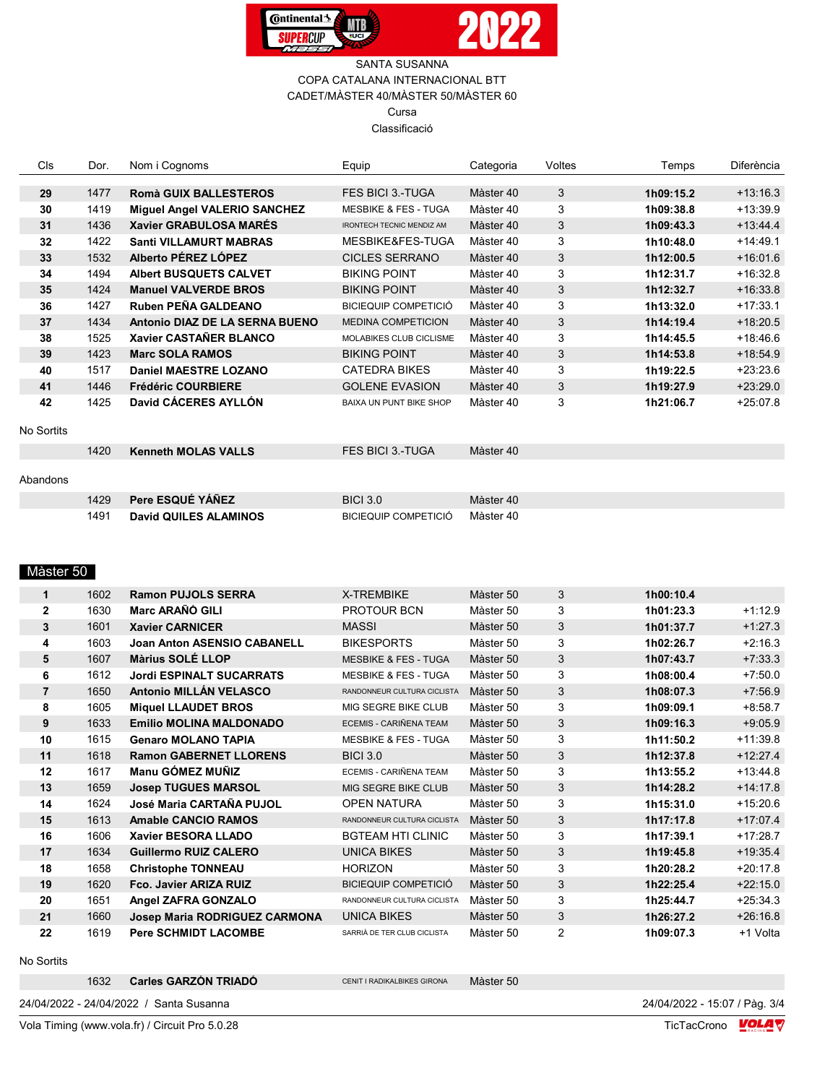



#### SANTA SUSANNA COPA CATALANA INTERNACIONAL BTT CADET/MÀSTER 40/MÀSTER 50/MÀSTER 60 Cursa Classificació

| Cls        | Dor. | Nom i Cognoms                       | Equip                            | Categoria | Voltes | Temps     | Diferència |
|------------|------|-------------------------------------|----------------------------------|-----------|--------|-----------|------------|
| 29         | 1477 | <b>Romà GUIX BALLESTEROS</b>        | <b>FES BICI 3.-TUGA</b>          | Màster 40 | 3      | 1h09:15.2 | $+13:16.3$ |
| 30         | 1419 | <b>Miguel Angel VALERIO SANCHEZ</b> | <b>MESBIKE &amp; FES - TUGA</b>  | Màster 40 | 3      | 1h09:38.8 | $+13:39.9$ |
| 31         | 1436 | <b>Xavier GRABULOSA MARÉS</b>       | <b>IRONTECH TECNIC MENDIZ AM</b> | Màster 40 | 3      | 1h09:43.3 | $+13.44.4$ |
| 32         | 1422 | <b>Santi VILLAMURT MABRAS</b>       | MESBIKE&FES-TUGA                 | Màster 40 | 3      | 1h10:48.0 | $+14.49.1$ |
| 33         | 1532 | Alberto PÉREZ LÓPEZ                 | <b>CICLES SERRANO</b>            | Màster 40 | 3      | 1h12:00.5 | $+16.01.6$ |
| 34         | 1494 | <b>Albert BUSQUETS CALVET</b>       | <b>BIKING POINT</b>              | Màster 40 | 3      | 1h12:31.7 | $+16:32.8$ |
| 35         | 1424 | <b>Manuel VALVERDE BROS</b>         | <b>BIKING POINT</b>              | Màster 40 | 3      | 1h12:32.7 | $+16:33.8$ |
| 36         | 1427 | Ruben PEÑA GALDEANO                 | <b>BICIEQUIP COMPETICIÓ</b>      | Màster 40 | 3      | 1h13:32.0 | $+17:33.1$ |
| 37         | 1434 | Antonio DIAZ DE LA SERNA BUENO      | MEDINA COMPETICION               | Màster 40 | 3      | 1h14:19.4 | $+18:20.5$ |
| 38         | 1525 | Xavier CASTAÑER BLANCO              | <b>MOLABIKES CLUB CICLISME</b>   | Màster 40 | 3      | 1h14:45.5 | $+18:46.6$ |
| 39         | 1423 | <b>Marc SOLA RAMOS</b>              | <b>BIKING POINT</b>              | Màster 40 | 3      | 1h14:53.8 | $+18:54.9$ |
| 40         | 1517 | Daniel MAESTRE LOZANO               | <b>CATEDRA BIKES</b>             | Màster 40 | 3      | 1h19:22.5 | $+23:23.6$ |
| 41         | 1446 | <b>Frédéric COURBIERE</b>           | <b>GOLENE EVASION</b>            | Màster 40 | 3      | 1h19:27.9 | $+23:29.0$ |
| 42         | 1425 | David CÁCERES AYLLÓN                | <b>BAIXA UN PUNT BIKE SHOP</b>   | Màster 40 | 3      | 1h21:06.7 | $+25:07.8$ |
| No Sortits |      |                                     |                                  |           |        |           |            |
|            | 1420 | <b>Kenneth MOLAS VALLS</b>          | <b>FES BICI 3.-TUGA</b>          | Màster 40 |        |           |            |
| Abandons   |      |                                     |                                  |           |        |           |            |
|            | 1429 | Pere ESQUÉ YÁÑEZ                    | <b>BICI 3.0</b>                  | Màster 40 |        |           |            |
|            | 1491 | <b>David QUILES ALAMINOS</b>        | <b>BICIEQUIP COMPETICIÓ</b>      | Màster 40 |        |           |            |

#### Màster 50

| $\mathbf 1$    | 1602 | <b>Ramon PUJOLS SERRA</b>          | X-TREMBIKE                      | Màster 50 | 3              | 1h00:10.4 |            |
|----------------|------|------------------------------------|---------------------------------|-----------|----------------|-----------|------------|
| $\mathbf{2}$   | 1630 | Marc ARAÑÓ GILI                    | <b>PROTOUR BCN</b>              | Màster 50 | 3              | 1h01:23.3 | $+1:12.9$  |
| 3              | 1601 | <b>Xavier CARNICER</b>             | <b>MASSI</b>                    | Màster 50 | 3              | 1h01:37.7 | $+1:27.3$  |
| 4              | 1603 | <b>Joan Anton ASENSIO CABANELL</b> | <b>BIKESPORTS</b>               | Màster 50 | 3              | 1h02:26.7 | $+2:16.3$  |
| 5              | 1607 | <b>Màrius SOLÉ LLOP</b>            | <b>MESBIKE &amp; FES - TUGA</b> | Màster 50 | 3              | 1h07:43.7 | $+7:33.3$  |
| 6              | 1612 | <b>Jordi ESPINALT SUCARRATS</b>    | <b>MESBIKE &amp; FES - TUGA</b> | Màster 50 | 3              | 1h08:00.4 | $+7:50.0$  |
| $\overline{7}$ | 1650 | Antonio MILLÁN VELASCO             | RANDONNEUR CULTURA CICLISTA     | Màster 50 | 3              | 1h08:07.3 | $+7:56.9$  |
| 8              | 1605 | <b>Miquel LLAUDET BROS</b>         | MIG SEGRE BIKE CLUB             | Màster 50 | 3              | 1h09:09.1 | $+8:58.7$  |
| 9              | 1633 | <b>Emilio MOLINA MALDONADO</b>     | ECEMIS - CARIÑENA TEAM          | Màster 50 | 3              | 1h09:16.3 | $+9:05.9$  |
| 10             | 1615 | <b>Genaro MOLANO TAPIA</b>         | <b>MESBIKE &amp; FES - TUGA</b> | Màster 50 | 3              | 1h11:50.2 | $+11:39.8$ |
| 11             | 1618 | <b>Ramon GABERNET LLORENS</b>      | <b>BICI 3.0</b>                 | Màster 50 | 3              | 1h12:37.8 | $+12:27.4$ |
| 12             | 1617 | Manu GÓMEZ MUÑIZ                   | ECEMIS - CARIÑENA TEAM          | Màster 50 | 3              | 1h13:55.2 | $+13:44.8$ |
| 13             | 1659 | <b>Josep TUGUES MARSOL</b>         | MIG SEGRE BIKE CLUB             | Màster 50 | 3              | 1h14:28.2 | $+14:17.8$ |
| 14             | 1624 | José Maria CARTAÑA PUJOL           | <b>OPEN NATURA</b>              | Màster 50 | 3              | 1h15:31.0 | $+15:20.6$ |
| 15             | 1613 | <b>Amable CANCIO RAMOS</b>         | RANDONNEUR CULTURA CICLISTA     | Màster 50 | 3              | 1h17:17.8 | $+17:07.4$ |
| 16             | 1606 | Xavier BESORA LLADO                | <b>BGTEAM HTI CLINIC</b>        | Màster 50 | 3              | 1h17:39.1 | $+17:28.7$ |
| 17             | 1634 | <b>Guillermo RUIZ CALERO</b>       | <b>UNICA BIKES</b>              | Màster 50 | 3              | 1h19:45.8 | $+19.35.4$ |
| 18             | 1658 | <b>Christophe TONNEAU</b>          | <b>HORIZON</b>                  | Màster 50 | 3              | 1h20:28.2 | $+20:17.8$ |
| 19             | 1620 | Fco. Javier ARIZA RUIZ             | <b>BICIEQUIP COMPETICIÓ</b>     | Màster 50 | 3              | 1h22:25.4 | $+22:15.0$ |
| 20             | 1651 | Angel ZAFRA GONZALO                | RANDONNEUR CULTURA CICLISTA     | Màster 50 | 3              | 1h25:44.7 | $+25:34.3$ |
| 21             | 1660 | Josep Maria RODRIGUEZ CARMONA      | <b>UNICA BIKES</b>              | Màster 50 | 3              | 1h26:27.2 | $+26:16.8$ |
| 22             | 1619 | <b>Pere SCHMIDT LACOMBE</b>        | SARRIÀ DE TER CLUB CICLISTA     | Màster 50 | $\overline{2}$ | 1h09:07.3 | +1 Volta   |

No Sortits

| <b>Carles GARZÓN TRIADO</b><br>1632<br>Màster 50<br>CENIT I RADIKALBIKES GIRONA |  |
|---------------------------------------------------------------------------------|--|
|---------------------------------------------------------------------------------|--|

 $\frac{24}{04}{2022 - 15.07 / \text{P\ddot{a}}9.3}{4}$